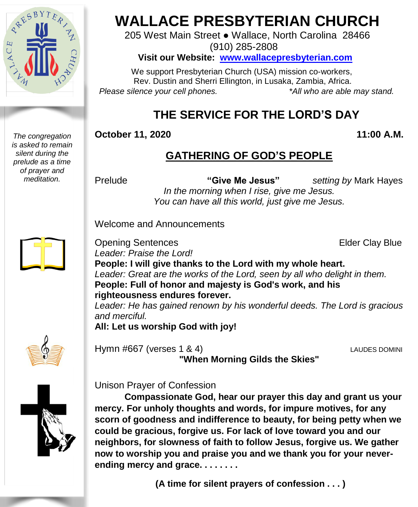

*The congregation is asked to remain silent during the prelude as a time of prayer and meditation.*

# **WALLACE PRESBYTERIAN CHURCH**

205 West Main Street ● Wallace, North Carolina 28466 (910) 285-2808

**Visit our Website: [www.wallacepresbyterian.com](http://www.wallacepresbyterian.com/)**

 We support Presbyterian Church (USA) mission co-workers, Rev. Dustin and Sherri Ellington, in Lusaka, Zambia, Africa. *Please silence your cell phones. \*All who are able may stand.*

## **THE SERVICE FOR THE LORD'S DAY**

#### **October 11, 2020** 11:00 **A.M.**

## **GATHERING OF GOD'S PEOPLE**

Prelude **"Give Me Jesus"** *setting by* Mark Hayes *In the morning when I rise, give me Jesus. You can have all this world, just give me Jesus.*

Welcome and Announcements

**Opening Sentences Elder Clay Blue** *Leader: Praise the Lord!* **People: I will give thanks to the Lord with my whole heart.** *Leader: Great are the works of the Lord, seen by all who delight in them.* **People: Full of honor and majesty is God's work, and his righteousness endures forever.**

*Leader: He has gained renown by his wonderful deeds. The Lord is gracious and merciful.*

**All: Let us worship God with joy!**



Hymn #667 (verses 1 & 4) LAUDES DOMINI **"When Morning Gilds the Skies"**



Unison Prayer of Confession

**Compassionate God, hear our prayer this day and grant us your mercy. For unholy thoughts and words, for impure motives, for any scorn of goodness and indifference to beauty, for being petty when we could be gracious, forgive us. For lack of love toward you and our neighbors, for slowness of faith to follow Jesus, forgive us. We gather now to worship you and praise you and we thank you for your neverending mercy and grace. . . . . . . .** 

**(A time for silent prayers of confession . . . )**

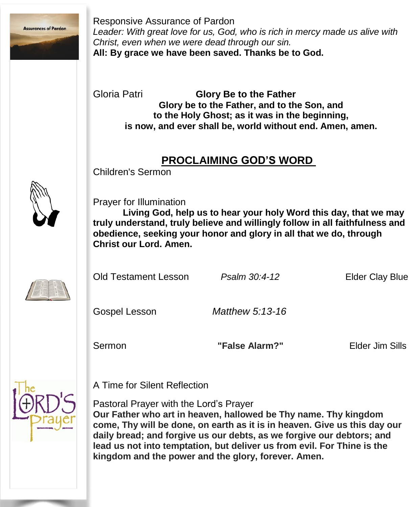

Responsive Assurance of Pardon *Leader: With great love for us, God, who is rich in mercy made us alive with Christ, even when we were dead through our sin.* **All: By grace we have been saved. Thanks be to God.**

Gloria Patri **Glory Be to the Father Glory be to the Father, and to the Son, and to the Holy Ghost; as it was in the beginning, is now, and ever shall be, world without end. Amen, amen.**

### **PROCLAIMING GOD'S WORD**

Children's Sermon



Prayer for Illumination

**Living God, help us to hear your holy Word this day, that we may truly understand, truly believe and willingly follow in all faithfulness and obedience, seeking your honor and glory in all that we do, through Christ our Lord. Amen.**



Old Testament Lesson *Psalm 30:4-12* Elder Clay Blue

Gospel Lesson *Matthew 5:13-16*

Sermon **"False Alarm?"** Elder Jim Sills



A Time for Silent Reflection

Pastoral Prayer with the Lord's Prayer

**Our Father who art in heaven, hallowed be Thy name. Thy kingdom come, Thy will be done, on earth as it is in heaven. Give us this day our daily bread; and forgive us our debts, as we forgive our debtors; and lead us not into temptation, but deliver us from evil. For Thine is the kingdom and the power and the glory, forever. Amen.**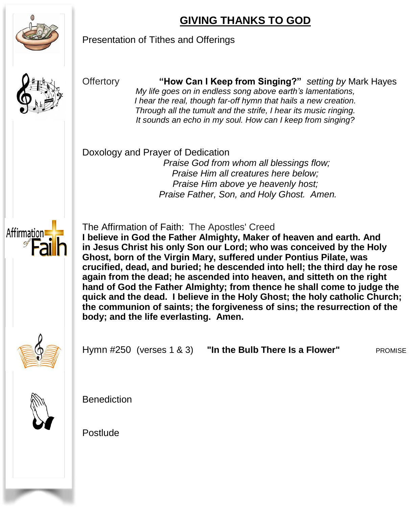## **GIVING THANKS TO GOD**



Presentation of Tithes and Offerings



Offertory **"How Can I Keep from Singing?"** *setting by* Mark Hayes *My life goes on in endless song above earth's lamentations, I hear the real, though far-off hymn that hails a new creation. Through all the tumult and the strife, I hear its music ringing. It sounds an echo in my soul. How can I keep from singing?*

Doxology and Prayer of Dedication

*Praise God from whom all blessings flow; Praise Him all creatures here below; Praise Him above ye heavenly host; Praise Father, Son, and Holy Ghost. Amen.*



The Affirmation of Faith: The Apostles' Creed

**I believe in God the Father Almighty, Maker of heaven and earth. And in Jesus Christ his only Son our Lord; who was conceived by the Holy Ghost, born of the Virgin Mary, suffered under Pontius Pilate, was crucified, dead, and buried; he descended into hell; the third day he rose again from the dead; he ascended into heaven, and sitteth on the right hand of God the Father Almighty; from thence he shall come to judge the quick and the dead. I believe in the Holy Ghost; the holy catholic Church; the communion of saints; the forgiveness of sins; the resurrection of the body; and the life everlasting. Amen.**



Hymn #250 (verses 1 & 3) **"In the Bulb There Is a Flower"** PROMISE



Benediction

Postlude